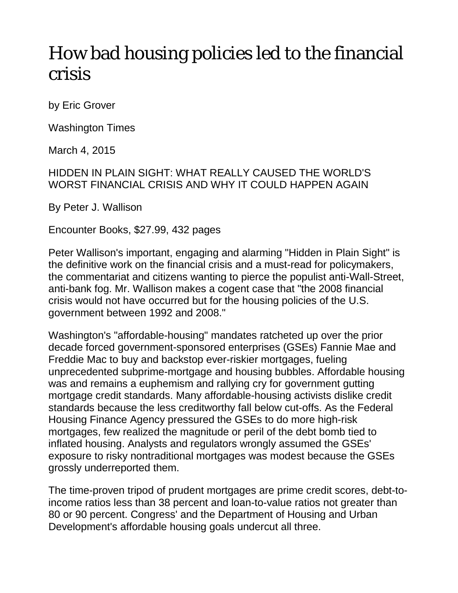## How bad housing policies led to the financial crisis

by Eric Grover

Washington Times

March 4, 2015

HIDDEN IN PLAIN SIGHT: WHAT REALLY CAUSED THE WORLD'S WORST FINANCIAL CRISIS AND WHY IT COULD HAPPEN AGAIN

By Peter J. Wallison

Encounter Books, \$27.99, 432 pages

Peter Wallison's important, engaging and alarming "Hidden in Plain Sight" is the definitive work on the financial crisis and a must-read for policymakers, the commentariat and citizens wanting to pierce the populist anti-Wall-Street, anti-bank fog. Mr. Wallison makes a cogent case that "the 2008 financial crisis would not have occurred but for the housing policies of the U.S. government between 1992 and 2008."

Washington's "affordable-housing" mandates ratcheted up over the prior decade forced government-sponsored enterprises (GSEs) Fannie Mae and Freddie Mac to buy and backstop ever-riskier mortgages, fueling unprecedented subprime-mortgage and housing bubbles. Affordable housing was and remains a euphemism and rallying cry for government gutting mortgage credit standards. Many affordable-housing activists dislike credit standards because the less creditworthy fall below cut-offs. As the Federal Housing Finance Agency pressured the GSEs to do more high-risk mortgages, few realized the magnitude or peril of the debt bomb tied to inflated housing. Analysts and regulators wrongly assumed the GSEs' exposure to risky nontraditional mortgages was modest because the GSEs grossly underreported them.

The time-proven tripod of prudent mortgages are prime credit scores, debt-toincome ratios less than 38 percent and loan-to-value ratios not greater than 80 or 90 percent. Congress' and the Department of Housing and Urban Development's affordable housing goals undercut all three.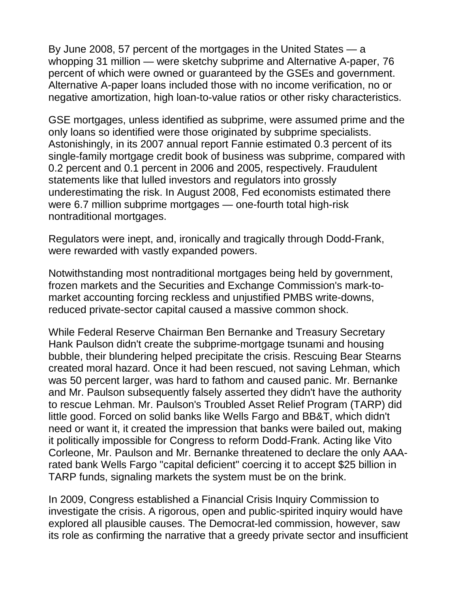By June 2008, 57 percent of the mortgages in the United States — a whopping 31 million — were sketchy subprime and Alternative A-paper, 76 percent of which were owned or guaranteed by the GSEs and government. Alternative A-paper loans included those with no income verification, no or negative amortization, high loan-to-value ratios or other risky characteristics.

GSE mortgages, unless identified as subprime, were assumed prime and the only loans so identified were those originated by subprime specialists. Astonishingly, in its 2007 annual report Fannie estimated 0.3 percent of its single-family mortgage credit book of business was subprime, compared with 0.2 percent and 0.1 percent in 2006 and 2005, respectively. Fraudulent statements like that lulled investors and regulators into grossly underestimating the risk. In August 2008, Fed economists estimated there were 6.7 million subprime mortgages — one-fourth total high-risk nontraditional mortgages.

Regulators were inept, and, ironically and tragically through Dodd-Frank, were rewarded with vastly expanded powers.

Notwithstanding most nontraditional mortgages being held by government, frozen markets and the Securities and Exchange Commission's mark-tomarket accounting forcing reckless and unjustified PMBS write-downs, reduced private-sector capital caused a massive common shock.

While Federal Reserve Chairman Ben Bernanke and Treasury Secretary Hank Paulson didn't create the subprime-mortgage tsunami and housing bubble, their blundering helped precipitate the crisis. Rescuing Bear Stearns created moral hazard. Once it had been rescued, not saving Lehman, which was 50 percent larger, was hard to fathom and caused panic. Mr. Bernanke and Mr. Paulson subsequently falsely asserted they didn't have the authority to rescue Lehman. Mr. Paulson's Troubled Asset Relief Program (TARP) did little good. Forced on solid banks like Wells Fargo and BB&T, which didn't need or want it, it created the impression that banks were bailed out, making it politically impossible for Congress to reform Dodd-Frank. Acting like Vito Corleone, Mr. Paulson and Mr. Bernanke threatened to declare the only AAArated bank Wells Fargo "capital deficient" coercing it to accept \$25 billion in TARP funds, signaling markets the system must be on the brink.

In 2009, Congress established a Financial Crisis Inquiry Commission to investigate the crisis. A rigorous, open and public-spirited inquiry would have explored all plausible causes. The Democrat-led commission, however, saw its role as confirming the narrative that a greedy private sector and insufficient